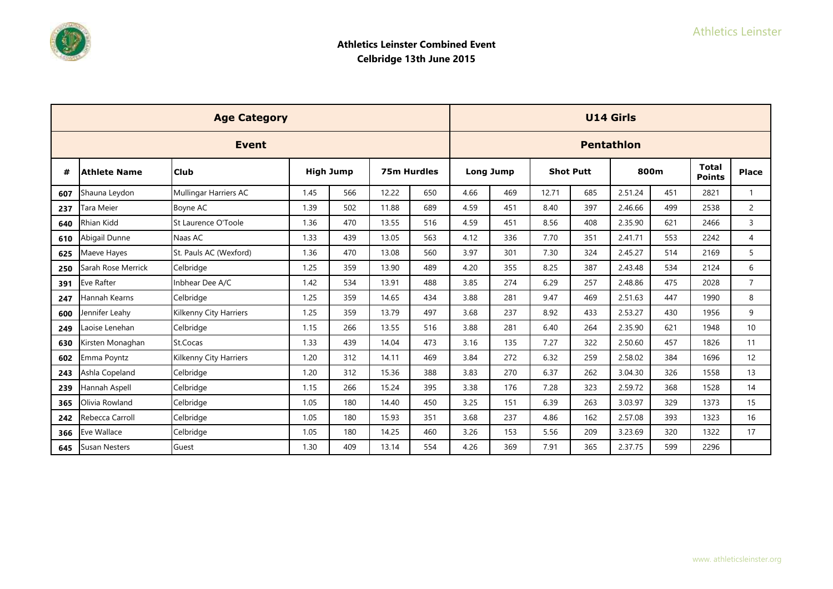

|     |                      | <b>Age Category</b>           |                  |     |             |     |                  |     |                  |     | <b>U14 Girls</b>  |     |                               |                 |
|-----|----------------------|-------------------------------|------------------|-----|-------------|-----|------------------|-----|------------------|-----|-------------------|-----|-------------------------------|-----------------|
|     |                      | <b>Event</b>                  |                  |     |             |     |                  |     |                  |     | <b>Pentathlon</b> |     |                               |                 |
| #   | <b>Athlete Name</b>  | <b>Club</b>                   | <b>High Jump</b> |     | 75m Hurdles |     | <b>Long Jump</b> |     | <b>Shot Putt</b> |     | 800m              |     | <b>Total</b><br><b>Points</b> | <b>Place</b>    |
| 607 | Shauna Leydon        | Mullingar Harriers AC         | 1.45             | 566 | 12.22       | 650 | 4.66             | 469 | 12.71            | 685 | 2.51.24           | 451 | 2821                          | $\mathbf{1}$    |
| 237 | Tara Meier           | Boyne AC                      | 1.39             | 502 | 11.88       | 689 | 4.59             | 451 | 8.40             | 397 | 2.46.66           | 499 | 2538                          | 2               |
| 640 | <b>Rhian Kidd</b>    | St Laurence O'Toole           | 1.36             | 470 | 13.55       | 516 | 4.59             | 451 | 8.56             | 408 | 2.35.90           | 621 | 2466                          | $\overline{3}$  |
| 610 | Abigail Dunne        | Naas AC                       | 1.33             | 439 | 13.05       | 563 | 4.12             | 336 | 7.70             | 351 | 2.41.71           | 553 | 2242                          | $\overline{4}$  |
| 625 | Maeve Hayes          | St. Pauls AC (Wexford)        | 1.36             | 470 | 13.08       | 560 | 3.97             | 301 | 7.30             | 324 | 2.45.27           | 514 | 2169                          | 5               |
| 250 | Sarah Rose Merrick   | Celbridge                     | 1.25             | 359 | 13.90       | 489 | 4.20             | 355 | 8.25             | 387 | 2.43.48           | 534 | 2124                          | 6               |
| 391 | Eve Rafter           | Inbhear Dee A/C               | 1.42             | 534 | 13.91       | 488 | 3.85             | 274 | 6.29             | 257 | 2.48.86           | 475 | 2028                          | $\overline{7}$  |
| 247 | Hannah Kearns        | Celbridge                     | 1.25             | 359 | 14.65       | 434 | 3.88             | 281 | 9.47             | 469 | 2.51.63           | 447 | 1990                          | 8               |
| 600 | Jennifer Leahy       | <b>Kilkenny City Harriers</b> | 1.25             | 359 | 13.79       | 497 | 3.68             | 237 | 8.92             | 433 | 2.53.27           | 430 | 1956                          | 9               |
| 249 | aoise Lenehan        | Celbridge                     | 1.15             | 266 | 13.55       | 516 | 3.88             | 281 | 6.40             | 264 | 2.35.90           | 621 | 1948                          | 10 <sup>1</sup> |
| 630 | Kirsten Monaghan     | St.Cocas                      | 1.33             | 439 | 14.04       | 473 | 3.16             | 135 | 7.27             | 322 | 2.50.60           | 457 | 1826                          | 11              |
| 602 | Emma Poyntz          | Kilkenny City Harriers        | 1.20             | 312 | 14.11       | 469 | 3.84             | 272 | 6.32             | 259 | 2.58.02           | 384 | 1696                          | 12              |
| 243 | Ashla Copeland       | Celbridge                     | 1.20             | 312 | 15.36       | 388 | 3.83             | 270 | 6.37             | 262 | 3.04.30           | 326 | 1558                          | 13              |
| 239 | Hannah Aspell        | Celbridge                     | 1.15             | 266 | 15.24       | 395 | 3.38             | 176 | 7.28             | 323 | 2.59.72           | 368 | 1528                          | 14              |
| 365 | Olivia Rowland       | Celbridge                     | 1.05             | 180 | 14.40       | 450 | 3.25             | 151 | 6.39             | 263 | 3.03.97           | 329 | 1373                          | 15              |
| 242 | Rebecca Carroll      | Celbridge                     | 1.05             | 180 | 15.93       | 351 | 3.68             | 237 | 4.86             | 162 | 2.57.08           | 393 | 1323                          | 16              |
| 366 | Eve Wallace          | Celbridge                     | 1.05             | 180 | 14.25       | 460 | 3.26             | 153 | 5.56             | 209 | 3.23.69           | 320 | 1322                          | 17              |
| 645 | <b>Susan Nesters</b> | Guest                         | 1.30             | 409 | 13.14       | 554 | 4.26             | 369 | 7.91             | 365 | 2.37.75           | 599 | 2296                          |                 |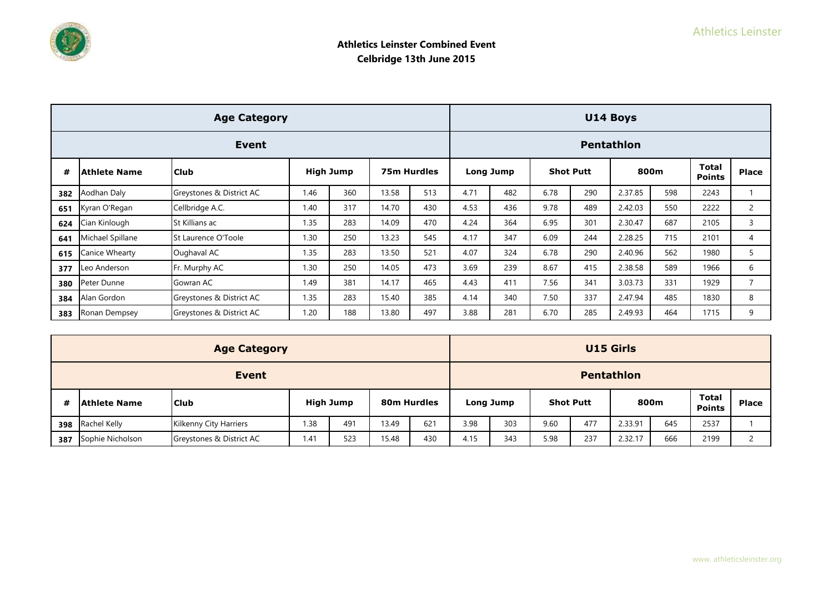

|     |                  | <b>Age Category</b>      |      |                  |       |             |      |           |      |                  | U14 Boys          |     |                               |                |
|-----|------------------|--------------------------|------|------------------|-------|-------------|------|-----------|------|------------------|-------------------|-----|-------------------------------|----------------|
|     |                  | Event                    |      |                  |       |             |      |           |      |                  | <b>Pentathlon</b> |     |                               |                |
| #   | Athlete Name     | l Club                   |      | <b>High Jump</b> |       | 75m Hurdles |      | Long Jump |      | <b>Shot Putt</b> | 800m              |     | <b>Total</b><br><b>Points</b> | <b>Place</b>   |
| 382 | Aodhan Daly      | Greystones & District AC | 1.46 | 360              | 13.58 | 513         | 4.71 | 482       | 6.78 | 290              | 2.37.85           | 598 | 2243                          |                |
| 651 | Kyran O'Regan    | Cellbridge A.C.          | 1.40 | 317              | 14.70 | 430         | 4.53 | 436       | 9.78 | 489              | 2.42.03           | 550 | 2222                          | $\overline{2}$ |
| 624 | Cian Kinlough    | St Killians ac           | 1.35 | 283              | 14.09 | 470         | 4.24 | 364       | 6.95 | 301              | 2.30.47           | 687 | 2105                          | 3              |
| 641 | Michael Spillane | St Laurence O'Toole      | 1.30 | 250              | 13.23 | 545         | 4.17 | 347       | 6.09 | 244              | 2.28.25           | 715 | 2101                          | 4              |
| 615 | Canice Whearty   | Oughaval AC              | 1.35 | 283              | 13.50 | 521         | 4.07 | 324       | 6.78 | 290              | 2.40.96           | 562 | 1980                          | 5              |
| 377 | Leo Anderson     | Fr. Murphy AC            | 1.30 | 250              | 14.05 | 473         | 3.69 | 239       | 8.67 | 415              | 2.38.58           | 589 | 1966                          | 6              |
| 380 | Peter Dunne      | Gowran AC                | 1.49 | 381              | 14.17 | 465         | 4.43 | 411       | 7.56 | 341              | 3.03.73           | 331 | 1929                          | $\overline{7}$ |
| 384 | Alan Gordon      | Greystones & District AC | 1.35 | 283              | 15.40 | 385         | 4.14 | 340       | 7.50 | 337              | 2.47.94           | 485 | 1830                          | 8              |
| 383 | Ronan Dempsey    | Greystones & District AC | 1.20 | 188              | 13.80 | 497         | 3.88 | 281       | 6.70 | 285              | 2.49.93           | 464 | 1715                          | 9              |

|     |                  | <b>Age Category</b>      |      |                  |             |     |      |           |      |                  | <b>U15 Girls</b>  |      |                               |        |
|-----|------------------|--------------------------|------|------------------|-------------|-----|------|-----------|------|------------------|-------------------|------|-------------------------------|--------|
|     | <b>Event</b>     |                          |      |                  |             |     |      |           |      |                  | <b>Pentathlon</b> |      |                               |        |
| #   | Athlete Name     | <b>Club</b>              |      | <b>High Jump</b> | 80m Hurdles |     |      | Long Jump |      | <b>Shot Putt</b> |                   | 800m | <b>Total</b><br><b>Points</b> | Place  |
| 398 | Rachel Kelly     | Kilkenny City Harriers   | .38  | 491              | 13.49       | 621 | 3.98 | 303       | 9.60 | 477              | 2.33.91           | 645  | 2537                          |        |
| 387 | Sophie Nicholson | Greystones & District AC | 1.41 | 523              | 15.48       | 430 | 4.15 | 343       | 5.98 | 237              | 2.32.17           | 666  | 2199                          | $\sim$ |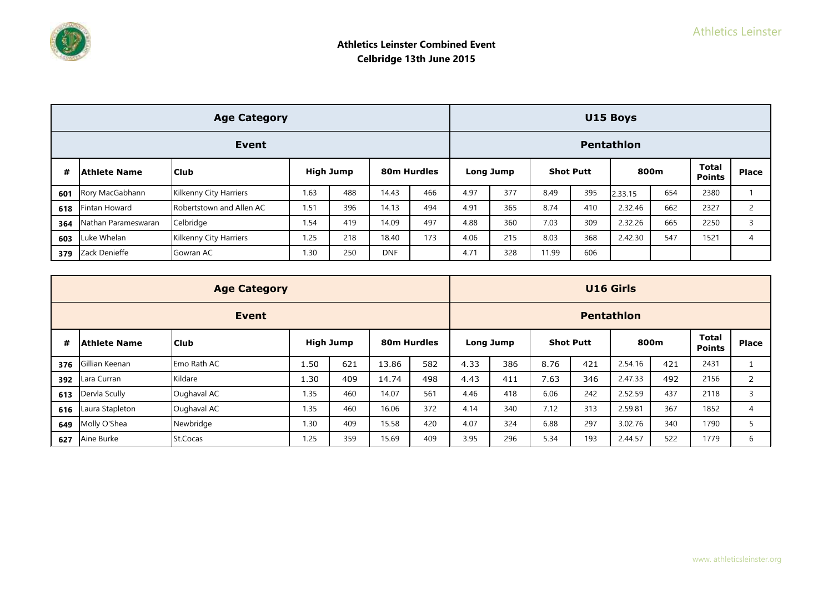

|     |                      | <b>Age Category</b>           |           |     |                  |     |      |     |                               |              | U15 Boys          |     |      |                                 |
|-----|----------------------|-------------------------------|-----------|-----|------------------|-----|------|-----|-------------------------------|--------------|-------------------|-----|------|---------------------------------|
|     |                      | Event                         |           |     |                  |     |      |     |                               |              | <b>Pentathlon</b> |     |      |                                 |
| #   | <b>Athlete Name</b>  | 80m Hurdles                   | Long Jump |     | <b>Shot Putt</b> |     | 800m |     | <b>Total</b><br><b>Points</b> | <b>Place</b> |                   |     |      |                                 |
| 601 | Rory MacGabhann      | <b>Kilkenny City Harriers</b> | 1.63      | 488 | 14.43            | 466 | 4.97 | 377 | 8.49                          | 395          | 2.33.15           | 654 | 2380 |                                 |
| 618 | <b>Fintan Howard</b> | Robertstown and Allen AC      | 1.51      | 396 | 14.13            | 494 | 4.91 | 365 | 8.74                          | 410          | 2.32.46           | 662 | 2327 | $\mathbf{\Omega}$<br>$\epsilon$ |
| 364 | Nathan Parameswaran  | Celbridge                     | 1.54      | 419 | 14.09            | 497 | 4.88 | 360 | 7.03                          | 309          | 2.32.26           | 665 | 2250 |                                 |
| 603 | Luke Whelan          | Kilkenny City Harriers        | 1.25      | 218 | 18.40            | 173 | 4.06 | 215 | 8.03                          | 368          | 2.42.30           | 547 | 1521 | 4                               |
| 379 | Zack Denieffe        | Gowran AC                     | 1.30      | 250 | <b>DNF</b>       |     | 4.71 | 328 | 11.99                         | 606          |                   |     |      |                                 |

|     |                 | <b>Age Category</b> |      |           |                         |     |      |           |      |                  | <b>U16 Girls</b>  |     |                               |              |
|-----|-----------------|---------------------|------|-----------|-------------------------|-----|------|-----------|------|------------------|-------------------|-----|-------------------------------|--------------|
|     |                 | <b>Event</b>        |      |           |                         |     |      |           |      |                  | <b>Pentathlon</b> |     |                               |              |
| #   | Athlete Name    | <b>Club</b>         |      | High Jump | 80 <sub>m</sub> Hurdles |     |      | Long Jump |      | <b>Shot Putt</b> | 800m              |     | <b>Total</b><br><b>Points</b> | <b>Place</b> |
| 376 | Gillian Keenan  | Emo Rath AC         | 1.50 | 621       | 13.86                   | 582 | 4.33 | 386       | 8.76 | 421              | 2.54.16           | 421 | 2431                          |              |
| 392 | Lara Curran     | Kildare             | 1.30 | 409       | 14.74                   | 498 | 4.43 | 411       | 7.63 | 346              | 2.47.33           | 492 | 2156                          | 2            |
| 613 | Dervla Scully   | Oughaval AC         | 1.35 | 460       | 14.07                   | 561 | 4.46 | 418       | 6.06 | 242              | 2.52.59           | 437 | 2118                          | 3            |
| 616 | Laura Stapleton | Oughaval AC         | 1.35 | 460       | 16.06                   | 372 | 4.14 | 340       | 7.12 | 313              | 2.59.81           | 367 | 1852                          | 4            |
| 649 | Molly O'Shea    | Newbridge           | 1.30 | 409       | 15.58                   | 420 | 4.07 | 324       | 6.88 | 297              | 3.02.76           | 340 | 1790                          |              |
| 627 | Aine Burke      | St.Cocas            | 1.25 | 359       | 15.69                   | 409 | 3.95 | 296       | 5.34 | 193              | 2.44.57           | 522 | 1779                          | 6            |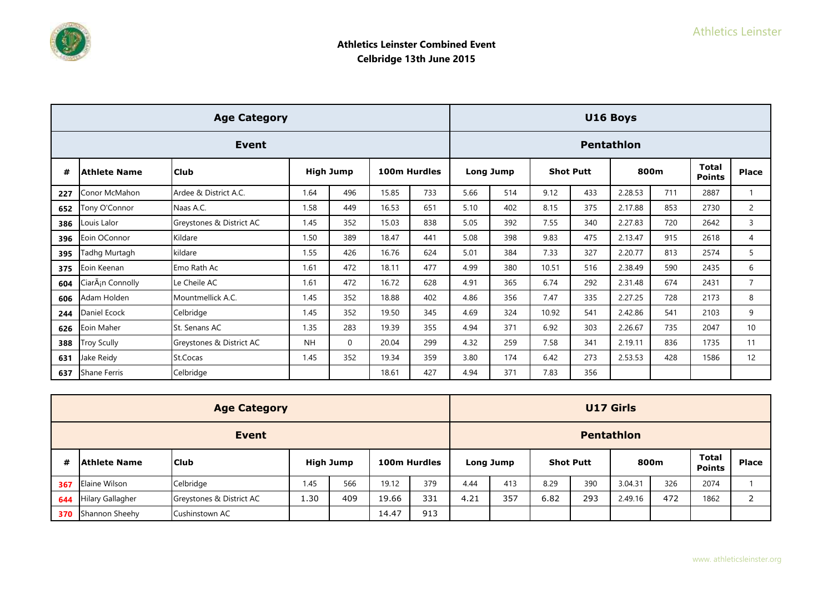

|     |                               | <b>Age Category</b>      |           |                  |              |     |      |                  |                  |     | U16 Boys          |     |                               |                |
|-----|-------------------------------|--------------------------|-----------|------------------|--------------|-----|------|------------------|------------------|-----|-------------------|-----|-------------------------------|----------------|
|     |                               | Event                    |           |                  |              |     |      |                  |                  |     | <b>Pentathlon</b> |     |                               |                |
| #   | <b>Athlete Name</b>           | <b>Club</b>              |           | <b>High Jump</b> | 100m Hurdles |     |      | <b>Long Jump</b> | <b>Shot Putt</b> |     | 800m              |     | <b>Total</b><br><b>Points</b> | Place          |
| 227 | Conor McMahon                 | Ardee & District A.C.    | 1.64      | 496              | 15.85        | 733 | 5.66 | 514              | 9.12             | 433 | 2.28.53           | 711 | 2887                          |                |
| 652 | Tony O'Connor                 | Naas A.C.                | 1.58      | 449              | 16.53        | 651 | 5.10 | 402              | 8.15             | 375 | 2.17.88           | 853 | 2730                          | $\overline{2}$ |
| 386 | Louis Lalor                   | Greystones & District AC | 1.45      | 352              | 15.03        | 838 | 5.05 | 392              | 7.55             | 340 | 2.27.83           | 720 | 2642                          | $\overline{3}$ |
| 396 | Eoin OConnor                  | Kildare                  | 1.50      | 389              | 18.47        | 441 | 5.08 | 398              | 9.83             | 475 | 2.13.47           | 915 | 2618                          | 4              |
| 395 | Tadhg Murtagh                 | kildare                  | 1.55      | 426              | 16.76        | 624 | 5.01 | 384              | 7.33             | 327 | 2.20.77           | 813 | 2574                          | 5              |
| 375 | Eoin Keenan                   | Emo Rath Ac              | 1.61      | 472              | 18.11        | 477 | 4.99 | 380              | 10.51            | 516 | 2.38.49           | 590 | 2435                          | 6              |
| 604 | CiarÂ <sub>i</sub> n Connolly | Le Cheile AC             | 1.61      | 472              | 16.72        | 628 | 4.91 | 365              | 6.74             | 292 | 2.31.48           | 674 | 2431                          | $\overline{7}$ |
| 606 | Adam Holden                   | Mountmellick A.C.        | 1.45      | 352              | 18.88        | 402 | 4.86 | 356              | 7.47             | 335 | 2.27.25           | 728 | 2173                          | 8              |
| 244 | Daniel Ecock                  | Celbridge                | 1.45      | 352              | 19.50        | 345 | 4.69 | 324              | 10.92            | 541 | 2.42.86           | 541 | 2103                          | 9              |
| 626 | Eoin Maher                    | St. Senans AC            | 1.35      | 283              | 19.39        | 355 | 4.94 | 371              | 6.92             | 303 | 2.26.67           | 735 | 2047                          | 10             |
| 388 | <b>Troy Scully</b>            | Greystones & District AC | <b>NH</b> | $\mathbf{0}$     | 20.04        | 299 | 4.32 | 259              | 7.58             | 341 | 2.19.11           | 836 | 1735                          | 11             |
| 631 | Jake Reidy                    | St.Cocas                 | 1.45      | 352              | 19.34        | 359 | 3.80 | 174              | 6.42             | 273 | 2.53.53           | 428 | 1586                          | 12             |
| 637 | <b>Shane Ferris</b>           | Celbridge                |           |                  | 18.61        | 427 | 4.94 | 371              | 7.83             | 356 |                   |     |                               |                |

|     |                         | <b>Age Category</b>      |                  |     |              |     |                   |           |      |                  | <b>U17 Girls</b> |     |                               |                          |
|-----|-------------------------|--------------------------|------------------|-----|--------------|-----|-------------------|-----------|------|------------------|------------------|-----|-------------------------------|--------------------------|
|     |                         |                          |                  |     |              |     | <b>Pentathlon</b> |           |      |                  |                  |     |                               |                          |
| #   | Athlete Name            | <b>Club</b>              | <b>High Jump</b> |     | 100m Hurdles |     |                   | Long Jump |      | <b>Shot Putt</b> | 800m             |     | <b>Total</b><br><b>Points</b> | <b>Place</b>             |
| 367 | Elaine Wilson           | Celbridge                | 1.45             | 566 | 19.12        | 379 | 4.44              | 413       | 8.29 | 390              | 3.04.31          | 326 | 2074                          |                          |
| 644 | <b>Hilary Gallagher</b> | Greystones & District AC | 1.30             | 409 | 19.66        | 331 | 4.21              | 357       | 6.82 | 293              | 2.49.16          | 472 | 1862                          | $\overline{\phantom{0}}$ |
| 370 | Shannon Sheehy          | Cushinstown AC           |                  |     | 14.47        | 913 |                   |           |      |                  |                  |     |                               |                          |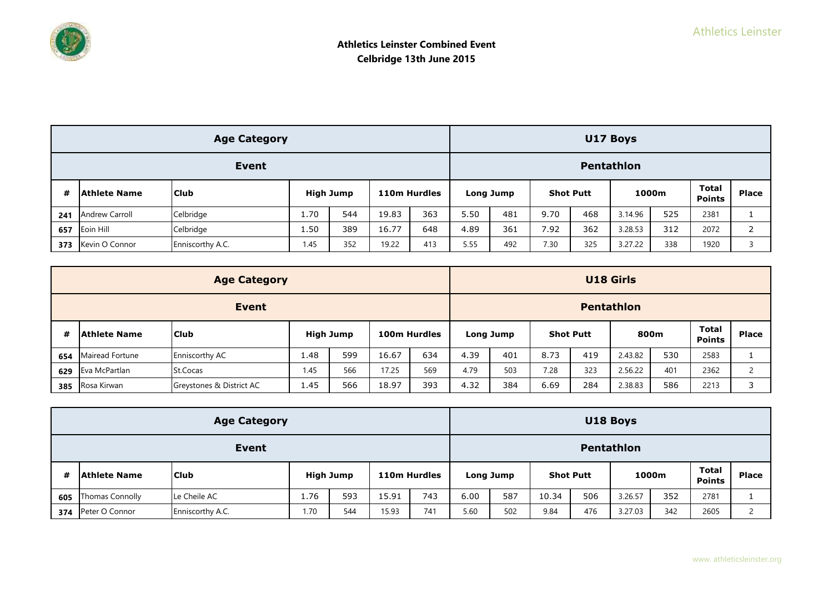|     |                       | <b>Age Category</b> |      |                  |              |     |      |           |                  |     | U17 Boys          |     |                        |       |
|-----|-----------------------|---------------------|------|------------------|--------------|-----|------|-----------|------------------|-----|-------------------|-----|------------------------|-------|
|     | Event                 |                     |      |                  |              |     |      |           |                  |     | <b>Pentathlon</b> |     |                        |       |
| #   | Athlete Name          | <b>Club</b>         |      | <b>High Jump</b> | 110m Hurdles |     |      | Long Jump | <b>Shot Putt</b> |     | 1000m             |     | Total<br><b>Points</b> | Place |
| 241 | <b>Andrew Carroll</b> | Celbridge           | 1.70 | 544              | 19.83        | 363 | 5.50 | 481       | 9.70             | 468 | 3.14.96           | 525 | 2381                   |       |
| 657 | Eoin Hill             | Celbridge           | 1.50 | 389              | 16.77        | 648 | 4.89 | 361       | 7.92             | 362 | 3.28.53           | 312 | 2072                   |       |
| 373 | Kevin O Connor        | Enniscorthy A.C.    | 1.45 | 352              | 19.22        | 413 | 5.55 | 492       | 7.30             | 325 | 3.27.22           | 338 | 1920                   |       |

|     |                     | <b>Age Category</b>      |      |                  |       |              |      |                   |      |                  | <b>U18 Girls</b> |     |                               |              |
|-----|---------------------|--------------------------|------|------------------|-------|--------------|------|-------------------|------|------------------|------------------|-----|-------------------------------|--------------|
|     |                     | <b>Event</b>             |      |                  |       |              |      | <b>Pentathlon</b> |      |                  |                  |     |                               |              |
| #   | <b>Athlete Name</b> | <b>Club</b>              |      | <b>High Jump</b> |       | 100m Hurdles |      | Long Jump         |      | <b>Shot Putt</b> | 800m             |     | <b>Total</b><br><b>Points</b> | <b>Place</b> |
| 654 | Mairead Fortune     | <b>Enniscorthy AC</b>    | 1.48 | 599              | 16.67 | 634          | 4.39 | 401               | 8.73 | 419              | 2.43.82          | 530 | 2583                          |              |
| 629 | Eva McPartlan       | St.Cocas                 | 1.45 | 566              | 17.25 | 569          | 4.79 | 503               | 7.28 | 323              | 2.56.22          | 401 | 2362                          |              |
| 385 | Rosa Kirwan         | Greystones & District AC | 1.45 | 566              | 18.97 | 393          | 4.32 | 384               | 6.69 | 284              | 2.38.83          | 586 | 2213                          | ∍            |

|     |                        | <b>Age Category</b> |      |           |       |              |      |           |       |                  | U18 Boys   |       |                        |                |
|-----|------------------------|---------------------|------|-----------|-------|--------------|------|-----------|-------|------------------|------------|-------|------------------------|----------------|
|     | Event                  |                     |      |           |       |              |      |           |       |                  | Pentathlon |       |                        |                |
| #   | Athlete Name           | <b>Club</b>         |      | High Jump |       | 110m Hurdles |      | Long Jump |       | <b>Shot Putt</b> |            | 1000m | Total<br><b>Points</b> | <b>Place</b>   |
| 605 | <b>Thomas Connolly</b> | Le Cheile AC        | 1.76 | 593       | 15.91 | 743          | 6.00 | 587       | 10.34 | 506              | 3.26.57    | 352   | 2781                   |                |
| 374 | Peter O Connor         | Enniscorthy A.C.    | 1.70 | 544       | 15.93 | 741          | 5.60 | 502       | 9.84  | 476              | 3.27.03    | 342   | 2605                   | $\overline{ }$ |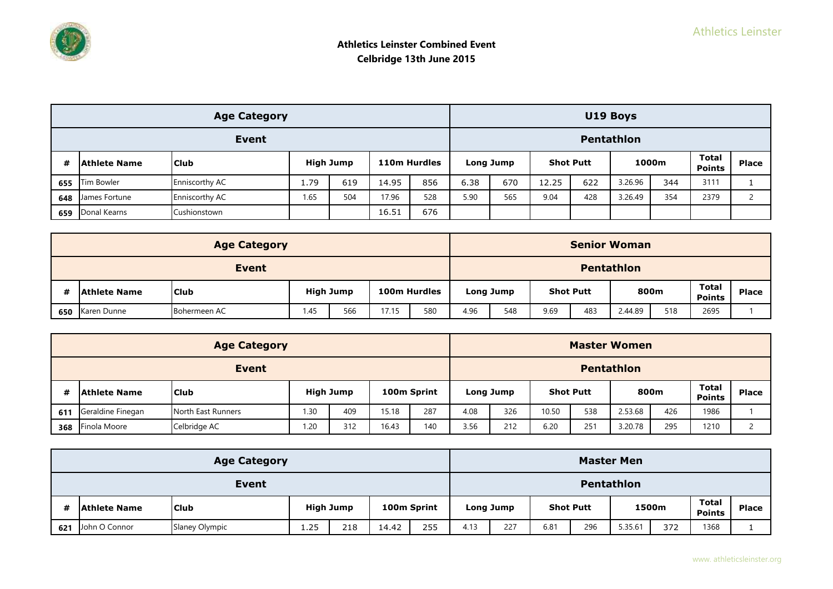|     |                                                                          | <b>Age Category</b> |      |     |       |     |                   |           |                  |     | U19 Boys |       |                               |                |
|-----|--------------------------------------------------------------------------|---------------------|------|-----|-------|-----|-------------------|-----------|------------------|-----|----------|-------|-------------------------------|----------------|
|     |                                                                          |                     |      |     |       |     | <b>Pentathlon</b> |           |                  |     |          |       |                               |                |
| #   | Event<br><b>High Jump</b><br>110m Hurdles<br><b>Club</b><br>Athlete Name |                     |      |     |       |     |                   | Long Jump | <b>Shot Putt</b> |     |          | 1000m | <b>Total</b><br><b>Points</b> | <b>Place</b>   |
| 655 | <b>Tim Bowler</b>                                                        | Enniscorthy AC      | 1.79 | 619 | 14.95 | 856 | 6.38              | 670       | 12.25            | 622 | 3.26.96  | 344   | 3111                          |                |
| 648 | James Fortune                                                            | Enniscorthy AC      | 1.65 | 504 | 17.96 | 528 | 5.90              | 565       | 9.04             | 428 | 3.26.49  | 354   | 2379                          | $\overline{ }$ |
| 659 | Donal Kearns                                                             | Cushionstown        |      |     | 16.51 | 676 |                   |           |                  |     |          |       |                               |                |

|     |                     | <b>Age Category</b> |      |                  |       |              |            |           |      |                  | <b>Senior Woman</b> |     |                        |              |
|-----|---------------------|---------------------|------|------------------|-------|--------------|------------|-----------|------|------------------|---------------------|-----|------------------------|--------------|
|     |                     |                     |      |                  |       |              | Pentathlon |           |      |                  |                     |     |                        |              |
| #   | <b>Athlete Name</b> | <b>Club</b>         |      | <b>High Jump</b> |       | 100m Hurdles |            | Long Jump |      | <b>Shot Putt</b> | 800m                |     | Total<br><b>Points</b> | <b>Place</b> |
| 650 | Karen Dunne         | Bohermeen AC        | 1.45 | 566              | 17.15 | 580          | 4.96       | 548       | 9.69 | 483              | 2.44.89             | 518 | 2695                   |              |

| <b>Age Category</b> |                     |                    |      |                                 |       |                   | <b>Master Women</b> |                  |       |      |         |                               |              |  |  |
|---------------------|---------------------|--------------------|------|---------------------------------|-------|-------------------|---------------------|------------------|-------|------|---------|-------------------------------|--------------|--|--|
| <b>Event</b>        |                     |                    |      |                                 |       | <b>Pentathlon</b> |                     |                  |       |      |         |                               |              |  |  |
| #                   | <b>Athlete Name</b> | l Club             |      | <b>High Jump</b><br>100m Sprint |       | Long Jump         |                     | <b>Shot Putt</b> |       | 800m |         | <b>Total</b><br><b>Points</b> | <b>Place</b> |  |  |
| 611                 | Geraldine Finegan   | North East Runners | 1.30 | 409                             | 15.18 | 287               | 4.08                | 326              | 10.50 | 538  | 2.53.68 | 426                           | 1986         |  |  |
| 368                 | Finola Moore        | Celbridge AC       | 1.20 | 312                             | 16.43 | 140               | 3.56                | 212              | 6.20  | 251  | 3.20.78 | 295                           | 1210         |  |  |

| <b>Age Category</b> |                     |                |                                 |     |       |           |            | <b>Master Men</b> |      |     |         |                               |              |  |  |  |
|---------------------|---------------------|----------------|---------------------------------|-----|-------|-----------|------------|-------------------|------|-----|---------|-------------------------------|--------------|--|--|--|
| <b>Event</b>        |                     |                |                                 |     |       |           | Pentathlon |                   |      |     |         |                               |              |  |  |  |
|                     | <b>Athlete Name</b> | <b>Club</b>    | 100m Sprint<br><b>High Jump</b> |     |       | Long Jump |            | <b>Shot Putt</b>  |      |     | 1500m   | <b>Total</b><br><b>Points</b> | <b>Place</b> |  |  |  |
| 621                 | John O Connor       | Slaney Olympic | 1.25                            | 218 | 14.42 | 255       | 4.13       | 227               | 6.81 | 296 | 5.35.61 | 372                           | 1368         |  |  |  |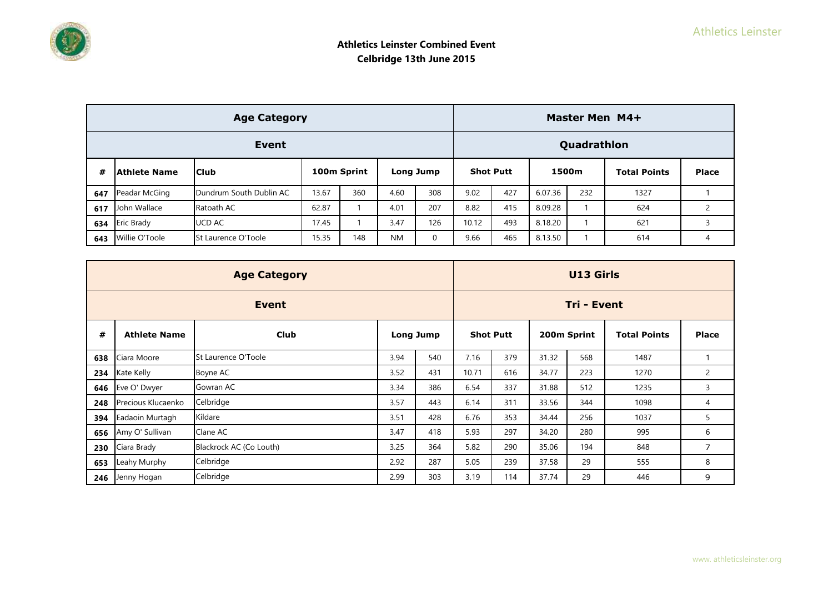| <b>Age Category</b> |                   |                         |       |             |           |             |                  | Master Men M4+ |         |     |                     |              |  |  |  |
|---------------------|-------------------|-------------------------|-------|-------------|-----------|-------------|------------------|----------------|---------|-----|---------------------|--------------|--|--|--|
| Event               |                   |                         |       |             |           |             |                  | Quadrathlon    |         |     |                     |              |  |  |  |
| #                   | Athlete Name      | <b>Club</b>             |       | 100m Sprint |           | Long Jump   | <b>Shot Putt</b> |                | 1500m   |     | <b>Total Points</b> | <b>Place</b> |  |  |  |
| 647                 | Peadar McGing     | Dundrum South Dublin AC | 13.67 | 360         | 4.60      | 308         | 9.02             | 427            | 6.07.36 | 232 | 1327                |              |  |  |  |
| 617                 | John Wallace      | Ratoath AC              | 62.87 |             | 4.01      | 207         | 8.82             | 415            | 8.09.28 |     | 624                 |              |  |  |  |
| 634                 | <b>Eric Brady</b> | UCD AC                  | 17.45 |             | 3.47      | 126         | 10.12            | 493            | 8.18.20 |     | 621                 |              |  |  |  |
| 643                 | Willie O'Toole    | St Laurence O'Toole     | 15.35 | 148         | <b>NM</b> | $\mathbf 0$ | 9.66             | 465            | 8.13.50 |     | 614                 | 4            |  |  |  |

|     |                     | <b>U13 Girls</b>        |           |     |                  |     |             |     |                     |                |
|-----|---------------------|-------------------------|-----------|-----|------------------|-----|-------------|-----|---------------------|----------------|
|     |                     | Tri - Event             |           |     |                  |     |             |     |                     |                |
| #   | <b>Athlete Name</b> | <b>Club</b>             | Long Jump |     | <b>Shot Putt</b> |     | 200m Sprint |     | <b>Total Points</b> | <b>Place</b>   |
| 638 | Ciara Moore         | St Laurence O'Toole     | 3.94      | 540 | 7.16             | 379 | 31.32       | 568 | 1487                |                |
| 234 | Kate Kelly          | Boyne AC                | 3.52      | 431 | 10.71            | 616 | 34.77       | 223 | 1270                | $\overline{2}$ |
| 646 | Eve O' Dwyer        | Gowran AC               | 3.34      | 386 | 6.54             | 337 | 31.88       | 512 | 1235                | 3              |
| 248 | Precious Klucaenko  | Celbridge               | 3.57      | 443 | 6.14             | 311 | 33.56       | 344 | 1098                | 4              |
| 394 | Eadaoin Murtagh     | Kildare                 | 3.51      | 428 | 6.76             | 353 | 34.44       | 256 | 1037                | 5              |
| 656 | Amy O' Sullivan     | Clane AC                | 3.47      | 418 | 5.93             | 297 | 34.20       | 280 | 995                 | 6              |
| 230 | Ciara Brady         | Blackrock AC (Co Louth) | 3.25      | 364 | 5.82             | 290 | 35.06       | 194 | 848                 | 7              |
| 653 | Leahy Murphy        | Celbridge               | 2.92      | 287 | 5.05             | 239 | 37.58       | 29  | 555                 | 8              |
| 246 | Jenny Hogan         | Celbridge               | 2.99      | 303 | 3.19             | 114 | 37.74       | 29  | 446                 | 9              |